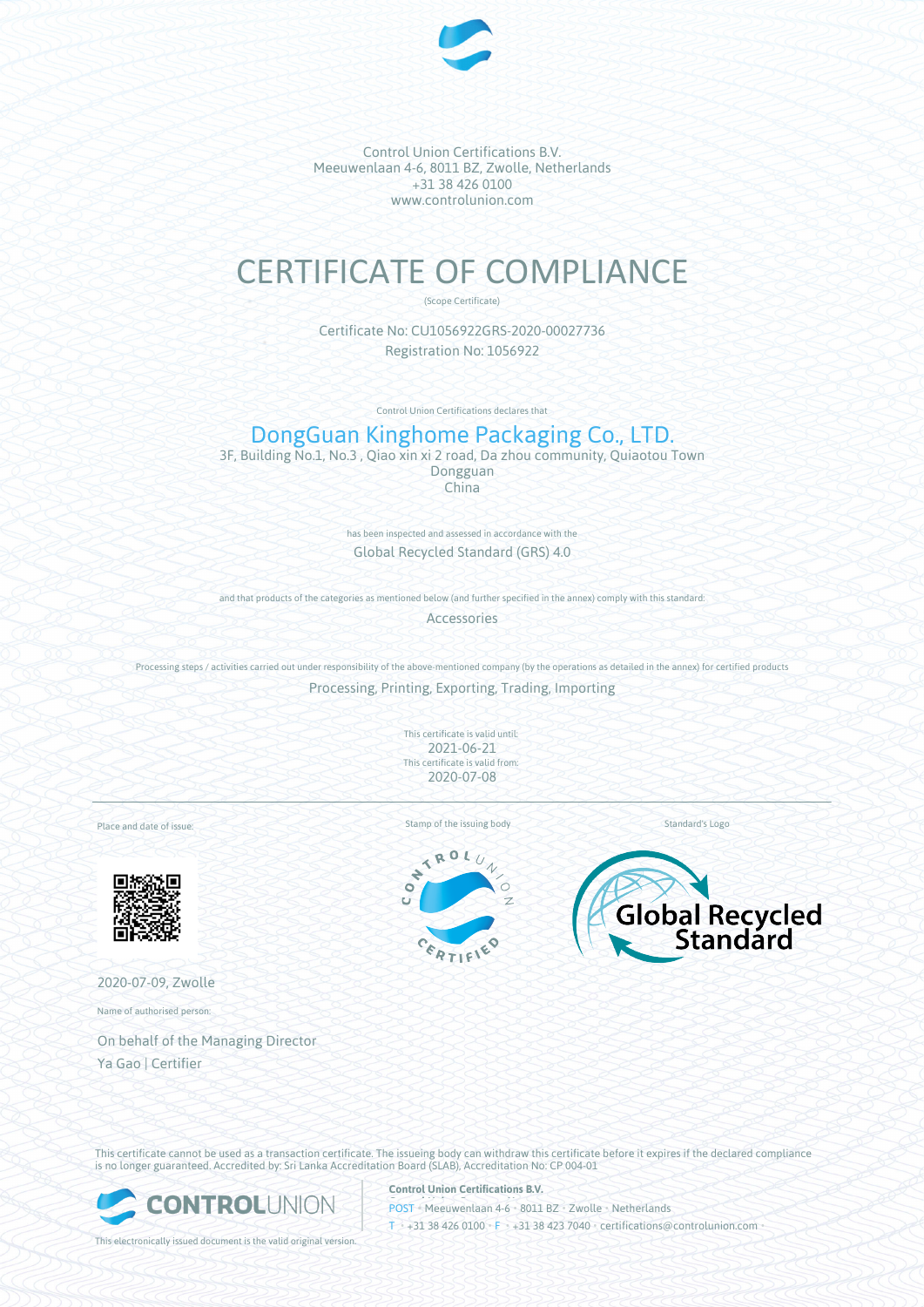

Control Union Certifications B.V. Meeuwenlaan 4-6, 8011 BZ, Zwolle, Netherlands +31 38 426 0100 www.controlunion.com

# CERTIFICATE OF COMPLIANCE

(Scope Certificate)

Certificate No: CU1056922GRS-2020-00027736 Registration No: 1056922

Control Union Certifications declares that

# DongGuan Kinghome Packaging Co., LTD.

3F, Building No.1, No.3 , Qiao xin xi 2 road, Da zhou community, Quiaotou Town Dongguan China

> has been inspected and assessed in accordance with the Global Recycled Standard (GRS) 4.0

and that products of the categories as mentioned below (and further specified in the annex) comply with this standard: Accessories

Processing steps / activities carried out under responsibility of the above-mentioned company (by the operations as detailed in the annex) for certified products

Processing, Printing, Exporting, Trading, Importing

This certificate is valid until: 2021-06-21 This certificate is valid from: 2020-07-08

Place and date of issue:



2020-07-09, Zwolle

Name of authorised person:

On behalf of the Managing Director Ya Gao | Certifier

Stamp of the issuing body Standard's Logo

ROL  $\prec$ ÷  $\bullet$ c





This certificate cannot be used as a transaction certificate. The issueing body can withdraw this certificate before it expires if the declared compliance is no longer guaranteed. Accredited by: Sri Lanka Accreditation Board (SLAB), Accreditation No: CP 004-01



**Control Union Certifications B.V.**

POST • Meeuwenlaan 4-6 • 8011 BZ • Zwolle • Netherlands T • +31 38 426 0100 • F • +31 38 423 7040 • certifications@controlunion.com •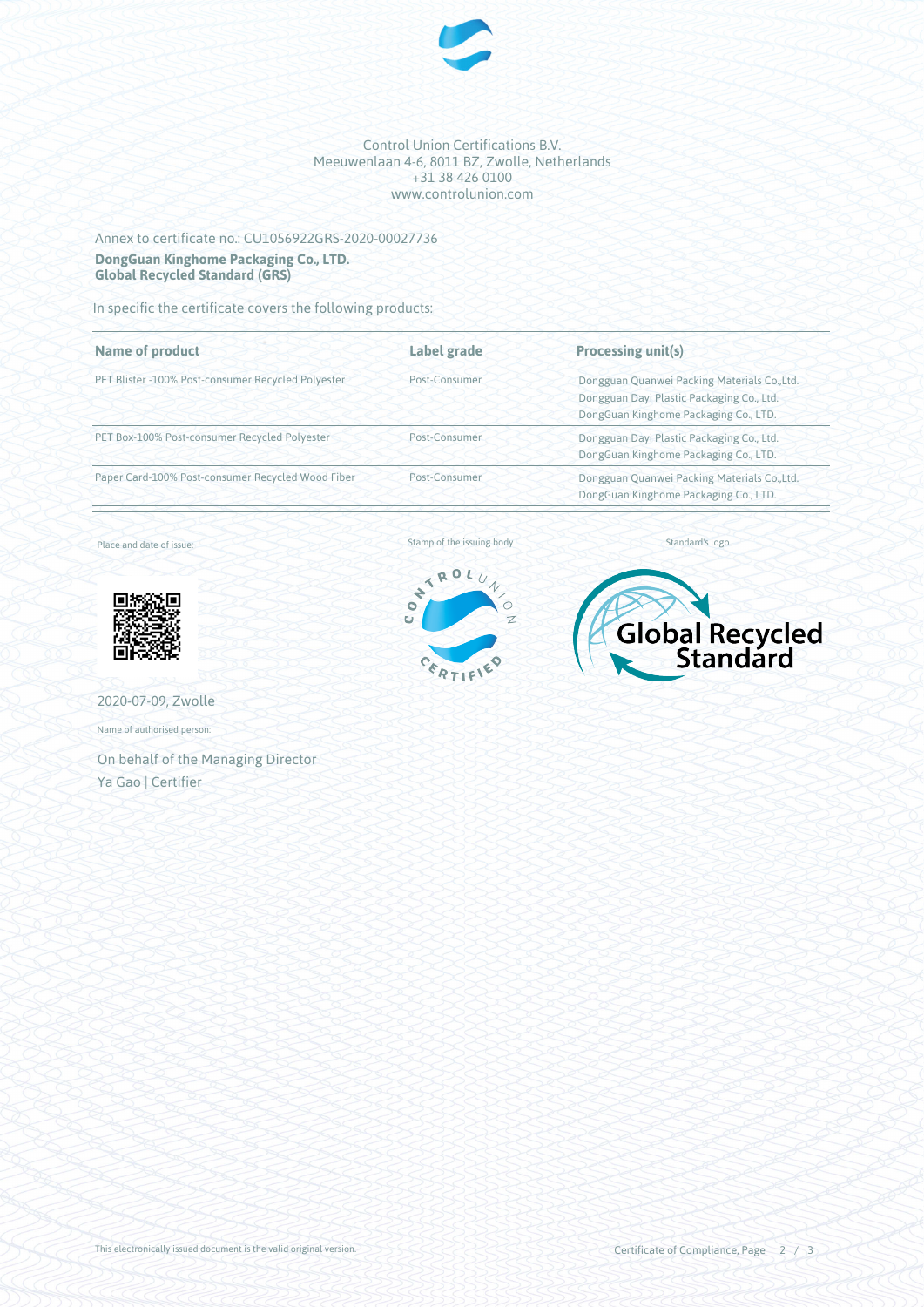

#### Control Union Certifications B.V. Meeuwenlaan 4-6, 8011 BZ, Zwolle, Netherlands +31 38 426 0100 www.controlunion.com

## Annex to certificate no.: CU1056922GRS-2020-00027736 **DongGuan Kinghome Packaging Co., LTD. Global Recycled Standard (GRS)**

In specific the certificate covers the following products:

| <b>Name of product</b>                             | Label grade   | <b>Processing unit(s)</b>                                                                                                          |
|----------------------------------------------------|---------------|------------------------------------------------------------------------------------------------------------------------------------|
| PET Blister -100% Post-consumer Recycled Polyester | Post-Consumer | Dongguan Quanwei Packing Materials Co., Ltd.<br>Dongguan Dayi Plastic Packaging Co., Ltd.<br>DongGuan Kinghome Packaging Co., LTD. |
| PET Box-100% Post-consumer Recycled Polyester      | Post-Consumer | Dongguan Dayi Plastic Packaging Co., Ltd.<br>DongGuan Kinghome Packaging Co., LTD.                                                 |
| Paper Card-100% Post-consumer Recycled Wood Fiber  | Post-Consumer | Dongguan Quanwei Packing Materials Co., Ltd.<br>DongGuan Kinghome Packaging Co., LTD.                                              |

Place and date of issue:



2020-07-09, Zwolle

Name of authorised person:

On behalf of the Managing Director Ya Gao | Certifier